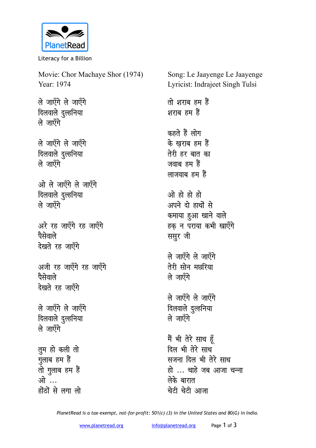

Literacy for a Billion

Movie: Chor Machaye Shor (1974) Year: 1974 ले जाएँगे ले जाएँगे दिलवाले दुल्हनिया ले जाएँगे ले जाएँगे ले जाएँगे दिलवाले दुल्हनिया ले जाएँगे ओ ले जाएँगे ले जाएँगे दिलवाले दुल्हनिया ले जाएँगे अरे रह जाएँगे रह जाएँगे पैसेवाले देखते रह जाएँगे अजी रह जाएँगे रह जाएँगे पैसेवाले देखते रह जाएँगे ले जाएँगे ले जाएँगे दिलवाले दुल्हनिया ले जाएँगे तुम हो कली तो गुलाब हम हैं तो गुलाब हम हैं ओ … होंठों से लगा लो

Song: Le Jaayenge Le Jaayenge Lyricist: Indrajeet Singh Tulsi तो शराब हम हैं शराब हम हैं कहते हैं लोग के खराब हम हैं तेरी हर बात का जवाब हम हैं लाजवाब हम हैं ओ हो हो हो अपने दो हाथों से कमाया हुआ खाने वाले हक न पराया कभी खाएँगे ससूर जी ले जाएँगे ले जाएँगे तेरी सोन मछरिया ले जाएँगे ले जाएँगे ले जाएँगे दिलवाले दुल्हनिया ले जाएँगे मैं भी तेरे साथ हूँ दिल भी तेरे साथ सजना दिल भी तेरे साथ हो ... चाहे जब आजा चन्ना लेके बारात चेटी चेटी आजा

PlanetRead is a tax-exempt, not-for-profit: 501(c) (3) in the United States and 80(G) in India.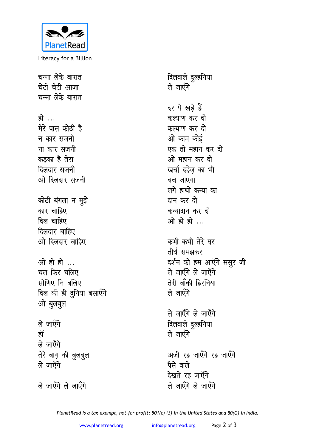

Literacy for a Billion

चन्ना लेके बारात चेटी चेटी आजा चन्ना लेके बारात हो … मेरे पास कोठी है न कार सजनी ना कार सजनी कडका है तेरा दिलदार सजनी ओ दिलदार सजनी कोठी बंगला न मुझे कार चाहिए दिल चाहिए दिलदार चाहिए ओ दिलदार चाहिए ओ हो हो ... चल फिर चलिए सोणिए नि बलिए दिल की ही दुनिया बसाएँगे ओ बुलबुल ले जाएँगे हाँ ले जाएँगे तेरे बाग़ की बुलबुल ले जाएँगे ले जाएँगे ले जाएँगे

दिलवाले दुल्हनिया ले जाएँगे दर पे खड़े हैं कल्याण कर दो कल्याण कर दो ओ काम कोई एक तो महान कर दो ओ महान कर दो खर्चा दहेज़ का भी बच जाएगा लगे हाथों कन्या का दान कर दो कन्यादान कर दो ओ हो हो ... कभी कभी तेरे घर तीर्थ समझकर दर्शन को हम आएँगे ससुर जी ले जाएँगे ले जाएँगे तेरी बाँकी हिरनिया ले जाएँगे ले जाएँगे ले जाएँगे दिलवाले दुल्हनिया ले जाएँगे अजी रह जाएँगे रह जाएँगे पैसे वाले देखते रह जाएँगे ले जाएँगे ले जाएँगे

PlanetRead is a tax-exempt, not-for-profit: 501(c) (3) in the United States and 80(G) in India.